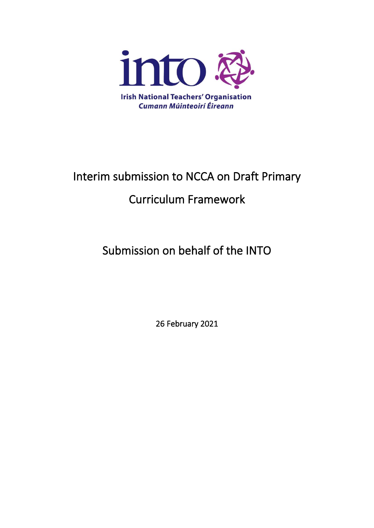

# Interim submission to NCCA on Draft Primary Curriculum Framework

# Submission on behalf of the INTO

26 February 2021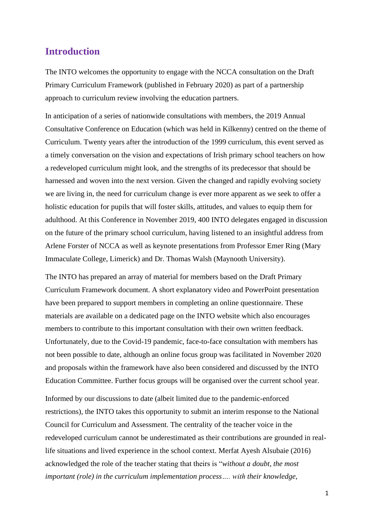#### **Introduction**

The INTO welcomes the opportunity to engage with the NCCA consultation on the Draft Primary Curriculum Framework (published in February 2020) as part of a partnership approach to curriculum review involving the education partners.

In anticipation of a series of nationwide consultations with members, the 2019 Annual Consultative Conference on Education (which was held in Kilkenny) centred on the theme of Curriculum. Twenty years after the introduction of the 1999 curriculum, this event served as a timely conversation on the vision and expectations of Irish primary school teachers on how a redeveloped curriculum might look, and the strengths of its predecessor that should be harnessed and woven into the next version. Given the changed and rapidly evolving society we are living in, the need for curriculum change is ever more apparent as we seek to offer a holistic education for pupils that will foster skills, attitudes, and values to equip them for adulthood. At this Conference in November 2019, 400 INTO delegates engaged in discussion on the future of the primary school curriculum, having listened to an insightful address from Arlene Forster of NCCA as well as keynote presentations from Professor Emer Ring (Mary Immaculate College, Limerick) and Dr. Thomas Walsh (Maynooth University).

The INTO has prepared an array of material for members based on the Draft Primary Curriculum Framework document. A short explanatory video and PowerPoint presentation have been prepared to support members in completing an online questionnaire. These materials are available on a dedicated page on the INTO website which also encourages members to contribute to this important consultation with their own written feedback. Unfortunately, due to the Covid-19 pandemic, face-to-face consultation with members has not been possible to date, although an online focus group was facilitated in November 2020 and proposals within the framework have also been considered and discussed by the INTO Education Committee. Further focus groups will be organised over the current school year.

Informed by our discussions to date (albeit limited due to the pandemic-enforced restrictions), the INTO takes this opportunity to submit an interim response to the National Council for Curriculum and Assessment. The centrality of the teacher voice in the redeveloped curriculum cannot be underestimated as their contributions are grounded in reallife situations and lived experience in the school context. Merfat Ayesh Alsubaie (2016) acknowledged the role of the teacher stating that theirs is "*without a doubt, the most important (role) in the curriculum implementation process…. with their knowledge,*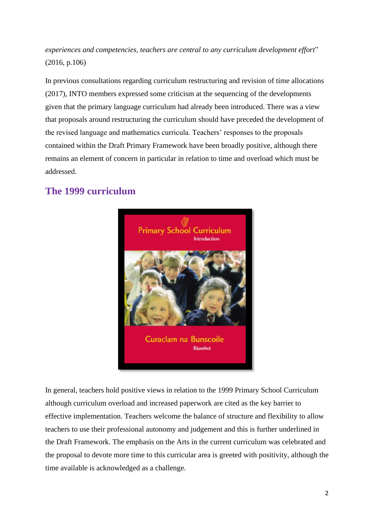*experiences and competencies, teachers are central to any curriculum development effort*" (2016, p.106)

In previous consultations regarding curriculum restructuring and revision of time allocations (2017), INTO members expressed some criticism at the sequencing of the developments given that the primary language curriculum had already been introduced. There was a view that proposals around restructuring the curriculum should have preceded the development of the revised language and mathematics curricula. Teachers' responses to the proposals contained within the Draft Primary Framework have been broadly positive, although there remains an element of concern in particular in relation to time and overload which must be addressed.

# **The 1999 curriculum**



In general, teachers hold positive views in relation to the 1999 Primary School Curriculum although curriculum overload and increased paperwork are cited as the key barrier to effective implementation. Teachers welcome the balance of structure and flexibility to allow teachers to use their professional autonomy and judgement and this is further underlined in the Draft Framework. The emphasis on the Arts in the current curriculum was celebrated and the proposal to devote more time to this curricular area is greeted with positivity, although the time available is acknowledged as a challenge.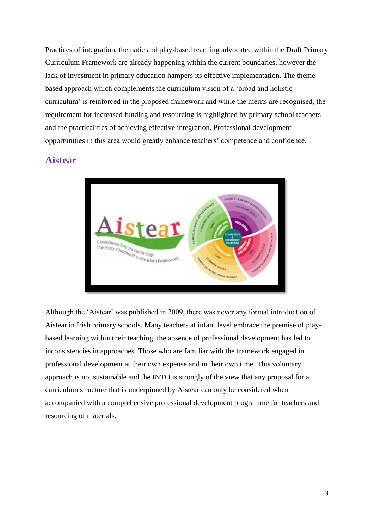Practices of integration, thematic and play-based teaching advocated within the Draft Primary Curriculum Framework are already happening within the current boundaries, however the lack of investment in primary education hampers its effective implementation. The themebased approach which complements the curriculum vision of a 'broad and holistic curriculum' is reinforced in the proposed framework and while the merits are recognised, the requirement for increased funding and resourcing is highlighted by primary school teachers and the practicalities of achieving effective integration. Professional development opportunities in this area would greatly enhance teachers' competence and confidence.

#### **Aistear**



Although the 'Aistear' was published in 2009, there was never any formal introduction of Aistear in Irish primary schools. Many teachers at infant level embrace the premise of playbased learning within their teaching, the absence of professional development has led to inconsistencies in approaches. Those who are familiar with the framework engaged in professional development at their own expense and in their own time. This voluntary approach is not sustainable and the INTO is strongly of the view that any proposal for a curriculum structure that is underpinned by Aistear can only be considered when accompanied with a comprehensive professional development programme for teachers and resourcing of materials.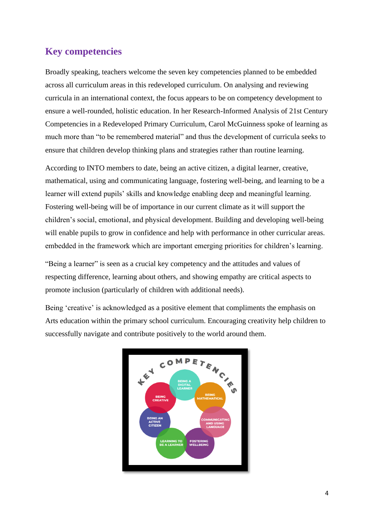#### **Key competencies**

Broadly speaking, teachers welcome the seven key competencies planned to be embedded across all curriculum areas in this redeveloped curriculum. On analysing and reviewing curricula in an international context, the focus appears to be on competency development to ensure a well-rounded, holistic education. In her Research-Informed Analysis of 21st Century Competencies in a Redeveloped Primary Curriculum, Carol McGuinness spoke of learning as much more than "to be remembered material" and thus the development of curricula seeks to ensure that children develop thinking plans and strategies rather than routine learning.

According to INTO members to date, being an active citizen, a digital learner, creative, mathematical, using and communicating language, fostering well-being, and learning to be a learner will extend pupils' skills and knowledge enabling deep and meaningful learning. Fostering well-being will be of importance in our current climate as it will support the children's social, emotional, and physical development. Building and developing well-being will enable pupils to grow in confidence and help with performance in other curricular areas. embedded in the framework which are important emerging priorities for children's learning.

"Being a learner" is seen as a crucial key competency and the attitudes and values of respecting difference, learning about others, and showing empathy are critical aspects to promote inclusion (particularly of children with additional needs).

Being 'creative' is acknowledged as a positive element that compliments the emphasis on Arts education within the primary school curriculum. Encouraging creativity help children to successfully navigate and contribute positively to the world around them.

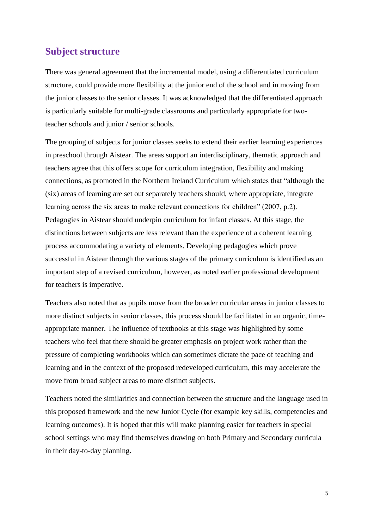#### **Subject structure**

There was general agreement that the incremental model, using a differentiated curriculum structure, could provide more flexibility at the junior end of the school and in moving from the junior classes to the senior classes. It was acknowledged that the differentiated approach is particularly suitable for multi-grade classrooms and particularly appropriate for twoteacher schools and junior / senior schools.

The grouping of subjects for junior classes seeks to extend their earlier learning experiences in preschool through Aistear. The areas support an interdisciplinary, thematic approach and teachers agree that this offers scope for curriculum integration, flexibility and making connections, as promoted in the Northern Ireland Curriculum which states that "although the (six) areas of learning are set out separately teachers should, where appropriate, integrate learning across the six areas to make relevant connections for children" (2007, p.2). Pedagogies in Aistear should underpin curriculum for infant classes. At this stage, the distinctions between subjects are less relevant than the experience of a coherent learning process accommodating a variety of elements. Developing pedagogies which prove successful in Aistear through the various stages of the primary curriculum is identified as an important step of a revised curriculum, however, as noted earlier professional development for teachers is imperative.

Teachers also noted that as pupils move from the broader curricular areas in junior classes to more distinct subjects in senior classes, this process should be facilitated in an organic, timeappropriate manner. The influence of textbooks at this stage was highlighted by some teachers who feel that there should be greater emphasis on project work rather than the pressure of completing workbooks which can sometimes dictate the pace of teaching and learning and in the context of the proposed redeveloped curriculum, this may accelerate the move from broad subject areas to more distinct subjects.

Teachers noted the similarities and connection between the structure and the language used in this proposed framework and the new Junior Cycle (for example key skills, competencies and learning outcomes). It is hoped that this will make planning easier for teachers in special school settings who may find themselves drawing on both Primary and Secondary curricula in their day-to-day planning.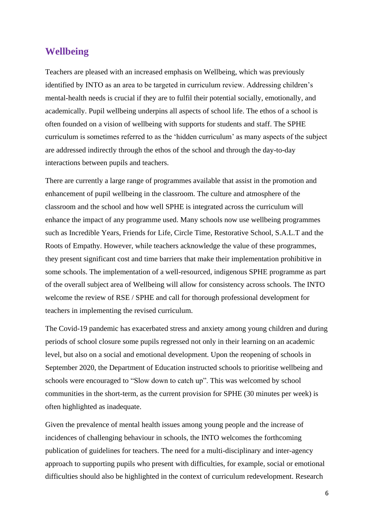#### **Wellbeing**

Teachers are pleased with an increased emphasis on Wellbeing, which was previously identified by INTO as an area to be targeted in curriculum review. Addressing children's mental-health needs is crucial if they are to fulfil their potential socially, emotionally, and academically. Pupil wellbeing underpins all aspects of school life. The ethos of a school is often founded on a vision of wellbeing with supports for students and staff. The SPHE curriculum is sometimes referred to as the 'hidden curriculum' as many aspects of the subject are addressed indirectly through the ethos of the school and through the day-to-day interactions between pupils and teachers.

There are currently a large range of programmes available that assist in the promotion and enhancement of pupil wellbeing in the classroom. The culture and atmosphere of the classroom and the school and how well SPHE is integrated across the curriculum will enhance the impact of any programme used. Many schools now use wellbeing programmes such as Incredible Years, Friends for Life, Circle Time, Restorative School, S.A.L.T and the Roots of Empathy. However, while teachers acknowledge the value of these programmes, they present significant cost and time barriers that make their implementation prohibitive in some schools. The implementation of a well-resourced, indigenous SPHE programme as part of the overall subject area of Wellbeing will allow for consistency across schools. The INTO welcome the review of RSE / SPHE and call for thorough professional development for teachers in implementing the revised curriculum.

The Covid-19 pandemic has exacerbated stress and anxiety among young children and during periods of school closure some pupils regressed not only in their learning on an academic level, but also on a social and emotional development. Upon the reopening of schools in September 2020, the Department of Education instructed schools to prioritise wellbeing and schools were encouraged to "Slow down to catch up". This was welcomed by school communities in the short-term, as the current provision for SPHE (30 minutes per week) is often highlighted as inadequate.

Given the prevalence of mental health issues among young people and the increase of incidences of challenging behaviour in schools, the INTO welcomes the forthcoming publication of guidelines for teachers. The need for a multi-disciplinary and inter-agency approach to supporting pupils who present with difficulties, for example, social or emotional difficulties should also be highlighted in the context of curriculum redevelopment. Research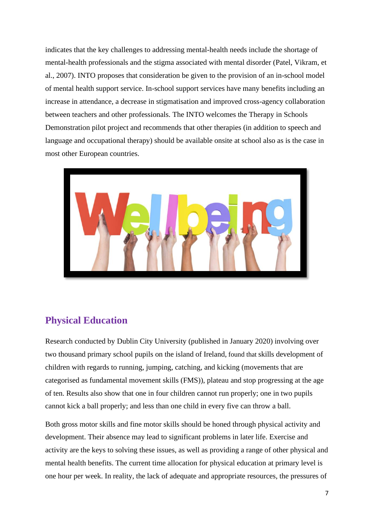indicates that the key challenges to addressing mental-health needs include the shortage of mental-health professionals and the stigma associated with mental disorder (Patel, Vikram, et al., 2007). INTO proposes that consideration be given to the provision of an in-school model of mental health support service. In-school support services have many benefits including an increase in attendance, a decrease in stigmatisation and improved cross-agency collaboration between teachers and other professionals. The INTO welcomes the Therapy in Schools Demonstration pilot project and recommends that other therapies (in addition to speech and language and occupational therapy) should be available onsite at school also as is the case in most other European countries.



# **Physical Education**

Research conducted by Dublin City University (published in January 2020) involving over two thousand primary school pupils on the island of Ireland, found that skills development of children with regards to running, jumping, catching, and kicking (movements that are categorised as fundamental movement skills (FMS)), plateau and stop progressing at the age of ten. Results also show that one in four children cannot run properly; one in two pupils cannot kick a ball properly; and less than one child in every five can throw a ball.

Both gross motor skills and fine motor skills should be honed through physical activity and development. Their absence may lead to significant problems in later life. Exercise and activity are the keys to solving these issues, as well as providing a range of other physical and mental health benefits. The current time allocation for physical education at primary level is one hour per week. In reality, the lack of adequate and appropriate resources, the pressures of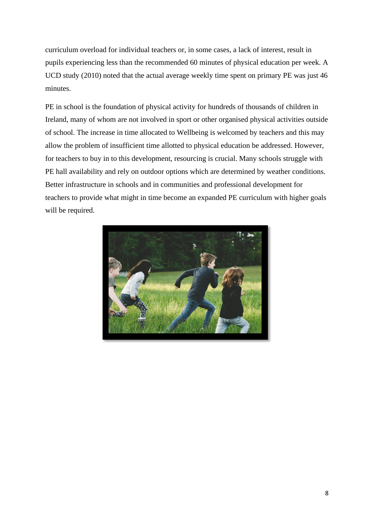curriculum overload for individual teachers or, in some cases, a lack of interest, result in pupils experiencing less than the recommended 60 minutes of physical education per week. A UCD study (2010) noted that the actual average weekly time spent on primary PE was just 46 minutes.

PE in school is the foundation of physical activity for hundreds of thousands of children in Ireland, many of whom are not involved in sport or other organised physical activities outside of school. The increase in time allocated to Wellbeing is welcomed by teachers and this may allow the problem of insufficient time allotted to physical education be addressed. However, for teachers to buy in to this development, resourcing is crucial. Many schools struggle with PE hall availability and rely on outdoor options which are determined by weather conditions. Better infrastructure in schools and in communities and professional development for teachers to provide what might in time become an expanded PE curriculum with higher goals will be required.

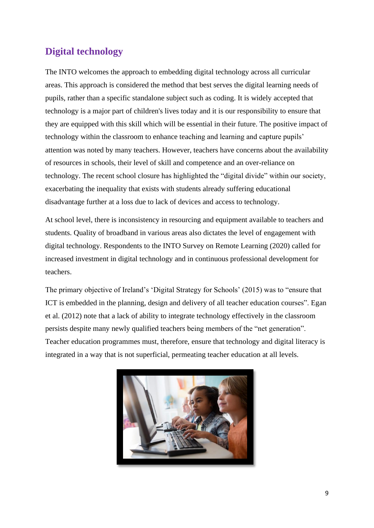# **Digital technology**

The INTO welcomes the approach to embedding digital technology across all curricular areas. This approach is considered the method that best serves the digital learning needs of pupils, rather than a specific standalone subject such as coding. It is widely accepted that technology is a major part of children's lives today and it is our responsibility to ensure that they are equipped with this skill which will be essential in their future. The positive impact of technology within the classroom to enhance teaching and learning and capture pupils' attention was noted by many teachers. However, teachers have concerns about the availability of resources in schools, their level of skill and competence and an over-reliance on technology. The recent school closure has highlighted the "digital divide" within our society, exacerbating the inequality that exists with students already suffering educational disadvantage further at a loss due to lack of devices and access to technology.

At school level, there is inconsistency in resourcing and equipment available to teachers and students. Quality of broadband in various areas also dictates the level of engagement with digital technology. Respondents to the INTO Survey on Remote Learning (2020) called for increased investment in digital technology and in continuous professional development for teachers.

The primary objective of Ireland's 'Digital Strategy for Schools' (2015) was to "ensure that ICT is embedded in the planning, design and delivery of all teacher education courses". Egan et al. (2012) note that a lack of ability to integrate technology effectively in the classroom persists despite many newly qualified teachers being members of the "net generation". Teacher education programmes must, therefore, ensure that technology and digital literacy is integrated in a way that is not superficial, permeating teacher education at all levels.

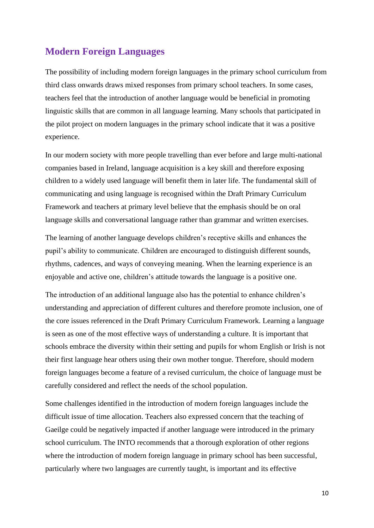### **Modern Foreign Languages**

The possibility of including modern foreign languages in the primary school curriculum from third class onwards draws mixed responses from primary school teachers. In some cases, teachers feel that the introduction of another language would be beneficial in promoting linguistic skills that are common in all language learning. Many schools that participated in the pilot project on modern languages in the primary school indicate that it was a positive experience.

In our modern society with more people travelling than ever before and large multi-national companies based in Ireland, language acquisition is a key skill and therefore exposing children to a widely used language will benefit them in later life. The fundamental skill of communicating and using language is recognised within the Draft Primary Curriculum Framework and teachers at primary level believe that the emphasis should be on oral language skills and conversational language rather than grammar and written exercises.

The learning of another language develops children's receptive skills and enhances the pupil's ability to communicate. Children are encouraged to distinguish different sounds, rhythms, cadences, and ways of conveying meaning. When the learning experience is an enjoyable and active one, children's attitude towards the language is a positive one.

The introduction of an additional language also has the potential to enhance children's understanding and appreciation of different cultures and therefore promote inclusion, one of the core issues referenced in the Draft Primary Curriculum Framework. Learning a language is seen as one of the most effective ways of understanding a culture. It is important that schools embrace the diversity within their setting and pupils for whom English or Irish is not their first language hear others using their own mother tongue. Therefore, should modern foreign languages become a feature of a revised curriculum, the choice of language must be carefully considered and reflect the needs of the school population.

Some challenges identified in the introduction of modern foreign languages include the difficult issue of time allocation. Teachers also expressed concern that the teaching of Gaeilge could be negatively impacted if another language were introduced in the primary school curriculum. The INTO recommends that a thorough exploration of other regions where the introduction of modern foreign language in primary school has been successful, particularly where two languages are currently taught, is important and its effective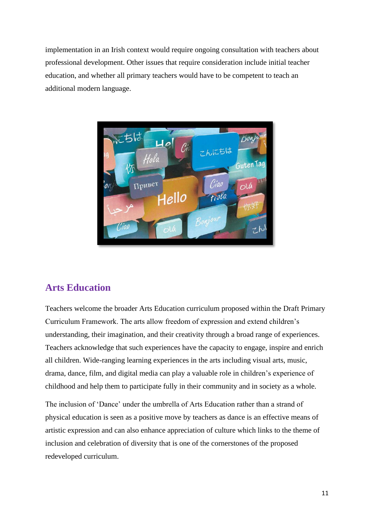implementation in an Irish context would require ongoing consultation with teachers about professional development. Other issues that require consideration include initial teacher education, and whether all primary teachers would have to be competent to teach an additional modern language.



# **Arts Education**

Teachers welcome the broader Arts Education curriculum proposed within the Draft Primary Curriculum Framework. The arts allow freedom of expression and extend children's understanding, their imagination, and their creativity through a broad range of experiences. Teachers acknowledge that such experiences have the capacity to engage, inspire and enrich all children. Wide-ranging learning experiences in the arts including visual arts, music, drama, dance, film, and digital media can play a valuable role in children's experience of childhood and help them to participate fully in their community and in society as a whole.

The inclusion of 'Dance' under the umbrella of Arts Education rather than a strand of physical education is seen as a positive move by teachers as dance is an effective means of artistic expression and can also enhance appreciation of culture which links to the theme of inclusion and celebration of diversity that is one of the cornerstones of the proposed redeveloped curriculum.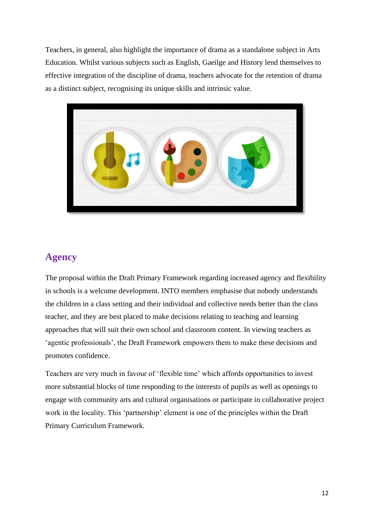Teachers, in general, also highlight the importance of drama as a standalone subject in Arts Education. Whilst various subjects such as English, Gaeilge and History lend themselves to effective integration of the discipline of drama, teachers advocate for the retention of drama as a distinct subject, recognising its unique skills and intrinsic value.



# **Agency**

The proposal within the Draft Primary Framework regarding increased agency and flexibility in schools is a welcome development. INTO members emphasise that nobody understands the children in a class setting and their individual and collective needs better than the class teacher, and they are best placed to make decisions relating to teaching and learning approaches that will suit their own school and classroom content. In viewing teachers as 'agentic professionals', the Draft Framework empowers them to make these decisions and promotes confidence.

Teachers are very much in favour of 'flexible time' which affords opportunities to invest more substantial blocks of time responding to the interests of pupils as well as openings to engage with community arts and cultural organisations or participate in collaborative project work in the locality. This 'partnership' element is one of the principles within the Draft Primary Curriculum Framework.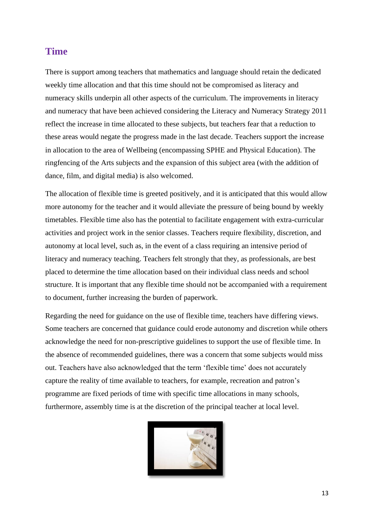#### **Time**

There is support among teachers that mathematics and language should retain the dedicated weekly time allocation and that this time should not be compromised as literacy and numeracy skills underpin all other aspects of the curriculum. The improvements in literacy and numeracy that have been achieved considering the Literacy and Numeracy Strategy 2011 reflect the increase in time allocated to these subjects, but teachers fear that a reduction to these areas would negate the progress made in the last decade. Teachers support the increase in allocation to the area of Wellbeing (encompassing SPHE and Physical Education). The ringfencing of the Arts subjects and the expansion of this subject area (with the addition of dance, film, and digital media) is also welcomed.

The allocation of flexible time is greeted positively, and it is anticipated that this would allow more autonomy for the teacher and it would alleviate the pressure of being bound by weekly timetables. Flexible time also has the potential to facilitate engagement with extra-curricular activities and project work in the senior classes. Teachers require flexibility, discretion, and autonomy at local level, such as, in the event of a class requiring an intensive period of literacy and numeracy teaching. Teachers felt strongly that they, as professionals, are best placed to determine the time allocation based on their individual class needs and school structure. It is important that any flexible time should not be accompanied with a requirement to document, further increasing the burden of paperwork.

Regarding the need for guidance on the use of flexible time, teachers have differing views. Some teachers are concerned that guidance could erode autonomy and discretion while others acknowledge the need for non-prescriptive guidelines to support the use of flexible time. In the absence of recommended guidelines, there was a concern that some subjects would miss out. Teachers have also acknowledged that the term 'flexible time' does not accurately capture the reality of time available to teachers, for example, recreation and patron's programme are fixed periods of time with specific time allocations in many schools, furthermore, assembly time is at the discretion of the principal teacher at local level.

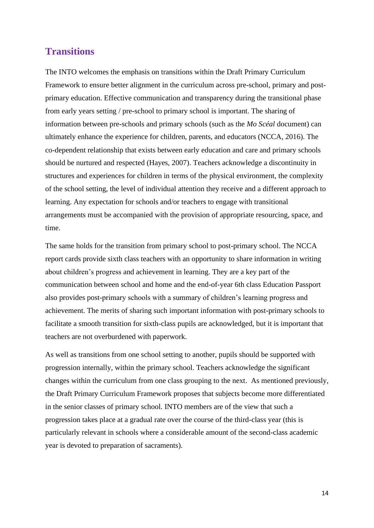#### **Transitions**

The INTO welcomes the emphasis on transitions within the Draft Primary Curriculum Framework to ensure better alignment in the curriculum across pre-school, primary and postprimary education. Effective communication and transparency during the transitional phase from early years setting / pre-school to primary school is important. The sharing of information between pre-schools and primary schools (such as the *Mo Scéal* document) can ultimately enhance the experience for children, parents, and educators (NCCA, 2016). The co-dependent relationship that exists between early education and care and primary schools should be nurtured and respected (Hayes, 2007). Teachers acknowledge a discontinuity in structures and experiences for children in terms of the physical environment, the complexity of the school setting, the level of individual attention they receive and a different approach to learning. Any expectation for schools and/or teachers to engage with transitional arrangements must be accompanied with the provision of appropriate resourcing, space, and time.

The same holds for the transition from primary school to post-primary school. The NCCA report cards provide sixth class teachers with an opportunity to share information in writing about children's progress and achievement in learning. They are a key part of the communication between school and home and the end-of-year 6th class Education Passport also provides post-primary schools with a summary of children's learning progress and achievement. The merits of sharing such important information with post-primary schools to facilitate a smooth transition for sixth-class pupils are acknowledged, but it is important that teachers are not overburdened with paperwork.

As well as transitions from one school setting to another, pupils should be supported with progression internally, within the primary school. Teachers acknowledge the significant changes within the curriculum from one class grouping to the next. As mentioned previously, the Draft Primary Curriculum Framework proposes that subjects become more differentiated in the senior classes of primary school. INTO members are of the view that such a progression takes place at a gradual rate over the course of the third-class year (this is particularly relevant in schools where a considerable amount of the second-class academic year is devoted to preparation of sacraments).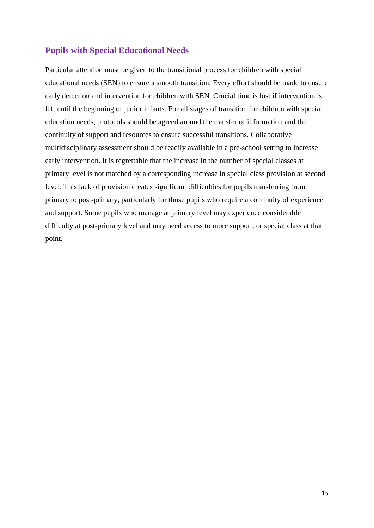#### **Pupils with Special Educational Needs**

Particular attention must be given to the transitional process for children with special educational needs (SEN) to ensure a smooth transition. Every effort should be made to ensure early detection and intervention for children with SEN. Crucial time is lost if intervention is left until the beginning of junior infants. For all stages of transition for children with special education needs, protocols should be agreed around the transfer of information and the continuity of support and resources to ensure successful transitions. Collaborative multidisciplinary assessment should be readily available in a pre-school setting to increase early intervention. It is regrettable that the increase in the number of special classes at primary level is not matched by a corresponding increase in special class provision at second level. This lack of provision creates significant difficulties for pupils transferring from primary to post-primary, particularly for those pupils who require a continuity of experience and support. Some pupils who manage at primary level may experience considerable difficulty at post-primary level and may need access to more support, or special class at that point.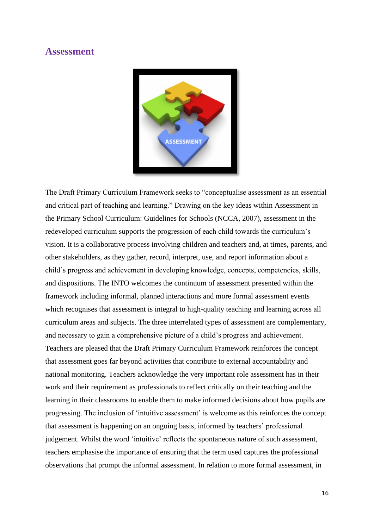#### **Assessment**



The Draft Primary Curriculum Framework seeks to "conceptualise assessment as an essential and critical part of teaching and learning." Drawing on the key ideas within Assessment in the Primary School Curriculum: Guidelines for Schools (NCCA, 2007), assessment in the redeveloped curriculum supports the progression of each child towards the curriculum's vision. It is a collaborative process involving children and teachers and, at times, parents, and other stakeholders, as they gather, record, interpret, use, and report information about a child's progress and achievement in developing knowledge, concepts, competencies, skills, and dispositions. The INTO welcomes the continuum of assessment presented within the framework including informal, planned interactions and more formal assessment events which recognises that assessment is integral to high-quality teaching and learning across all curriculum areas and subjects. The three interrelated types of assessment are complementary, and necessary to gain a comprehensive picture of a child's progress and achievement. Teachers are pleased that the Draft Primary Curriculum Framework reinforces the concept that assessment goes far beyond activities that contribute to external accountability and national monitoring. Teachers acknowledge the very important role assessment has in their work and their requirement as professionals to reflect critically on their teaching and the learning in their classrooms to enable them to make informed decisions about how pupils are progressing. The inclusion of 'intuitive assessment' is welcome as this reinforces the concept that assessment is happening on an ongoing basis, informed by teachers' professional judgement. Whilst the word 'intuitive' reflects the spontaneous nature of such assessment, teachers emphasise the importance of ensuring that the term used captures the professional observations that prompt the informal assessment. In relation to more formal assessment, in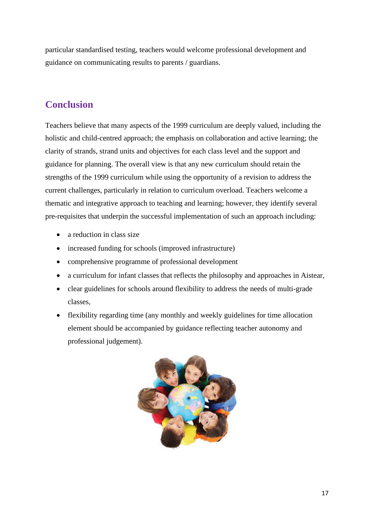particular standardised testing, teachers would welcome professional development and guidance on communicating results to parents / guardians.

# **Conclusion**

Teachers believe that many aspects of the 1999 curriculum are deeply valued, including the holistic and child-centred approach; the emphasis on collaboration and active learning; the clarity of strands, strand units and objectives for each class level and the support and guidance for planning. The overall view is that any new curriculum should retain the strengths of the 1999 curriculum while using the opportunity of a revision to address the current challenges, particularly in relation to curriculum overload. Teachers welcome a thematic and integrative approach to teaching and learning; however, they identify several pre-requisites that underpin the successful implementation of such an approach including:

- a reduction in class size
- increased funding for schools (improved infrastructure)
- comprehensive programme of professional development
- a curriculum for infant classes that reflects the philosophy and approaches in Aistear,
- clear guidelines for schools around flexibility to address the needs of multi-grade classes,
- flexibility regarding time (any monthly and weekly guidelines for time allocation element should be accompanied by guidance reflecting teacher autonomy and professional judgement).

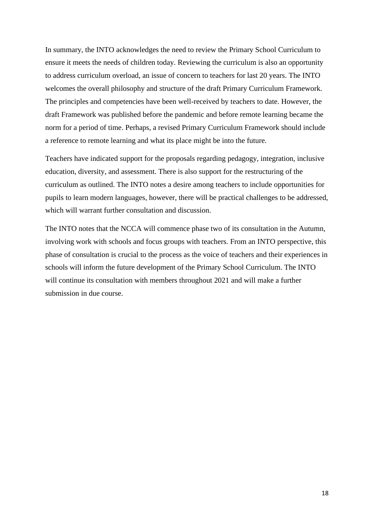In summary, the INTO acknowledges the need to review the Primary School Curriculum to ensure it meets the needs of children today. Reviewing the curriculum is also an opportunity to address curriculum overload, an issue of concern to teachers for last 20 years. The INTO welcomes the overall philosophy and structure of the draft Primary Curriculum Framework. The principles and competencies have been well-received by teachers to date. However, the draft Framework was published before the pandemic and before remote learning became the norm for a period of time. Perhaps, a revised Primary Curriculum Framework should include a reference to remote learning and what its place might be into the future.

Teachers have indicated support for the proposals regarding pedagogy, integration, inclusive education, diversity, and assessment. There is also support for the restructuring of the curriculum as outlined. The INTO notes a desire among teachers to include opportunities for pupils to learn modern languages, however, there will be practical challenges to be addressed, which will warrant further consultation and discussion.

The INTO notes that the NCCA will commence phase two of its consultation in the Autumn, involving work with schools and focus groups with teachers. From an INTO perspective, this phase of consultation is crucial to the process as the voice of teachers and their experiences in schools will inform the future development of the Primary School Curriculum. The INTO will continue its consultation with members throughout 2021 and will make a further submission in due course.